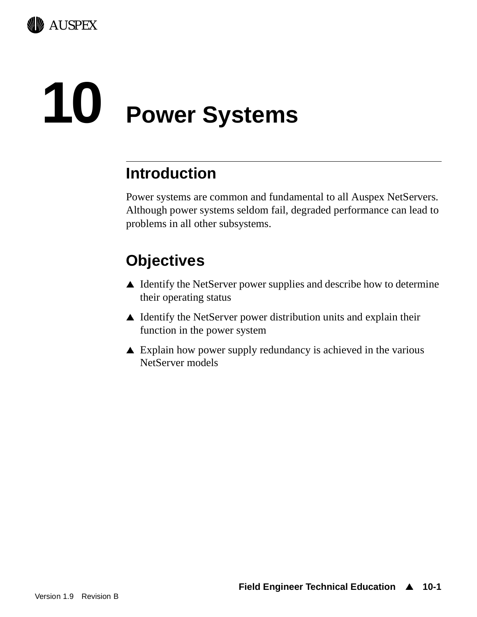

# **10 Power Systems**

## **Introduction**

Power systems are common and fundamental to all Auspex NetServers. Although power systems seldom fail, degraded performance can lead to problems in all other subsystems.

# **Objectives**

- $\triangle$  Identify the NetServer power supplies and describe how to determine their operating status
- $\triangle$  Identify the NetServer power distribution units and explain their function in the power system
- $\triangle$  Explain how power supply redundancy is achieved in the various NetServer models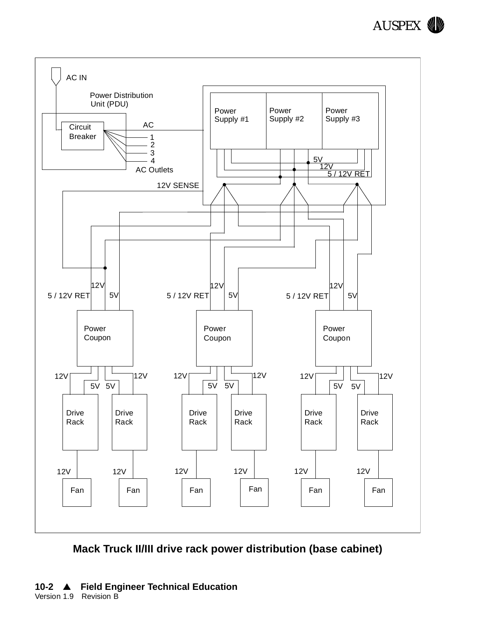



**Mack Truck II/III drive rack power distribution (base cabinet)**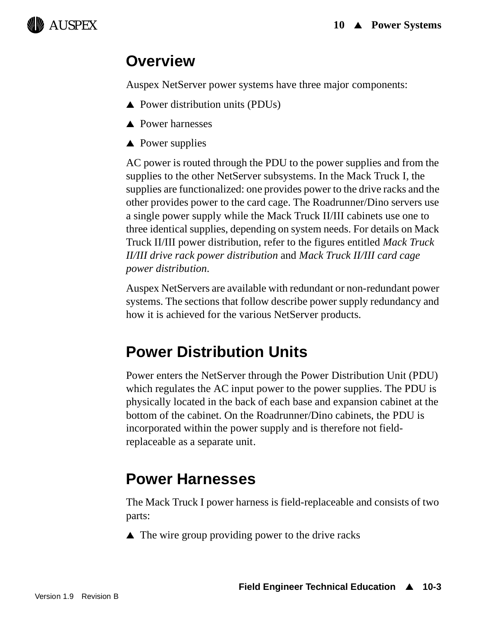

## **Overview**

Auspex NetServer power systems have three major components:

- $\triangle$  Power distribution units (PDUs)
- $\triangle$  Power harnesses
- $\triangle$  Power supplies

AC power is routed through the PDU to the power supplies and from the supplies to the other NetServer subsystems. In the Mack Truck I, the supplies are functionalized: one provides power to the drive racks and the other provides power to the card cage. The Roadrunner/Dino servers use a single power supply while the Mack Truck II/III cabinets use one to three identical supplies, depending on system needs. For details on Mack Truck II/III power distribution, refer to the figures entitled *Mack Truck II/III drive rack power distribution* and *Mack Truck II/III card cage power distribution*.

Auspex NetServers are available with redundant or non-redundant power systems. The sections that follow describe power supply redundancy and how it is achieved for the various NetServer products.

# **Power Distribution Units**

Power enters the NetServer through the Power Distribution Unit (PDU) which regulates the AC input power to the power supplies. The PDU is physically located in the back of each base and expansion cabinet at the bottom of the cabinet. On the Roadrunner/Dino cabinets, the PDU is incorporated within the power supply and is therefore not fieldreplaceable as a separate unit.

# **Power Harnesses**

The Mack Truck I power harness is field-replaceable and consists of two parts:

 $\triangle$  The wire group providing power to the drive racks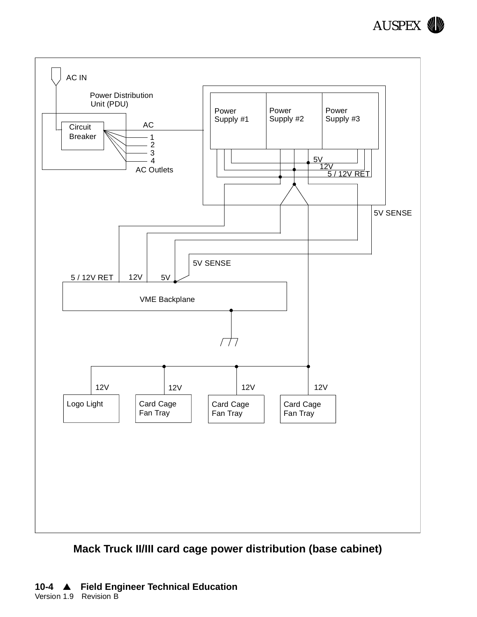



#### **Mack Truck II/III card cage power distribution (base cabinet)**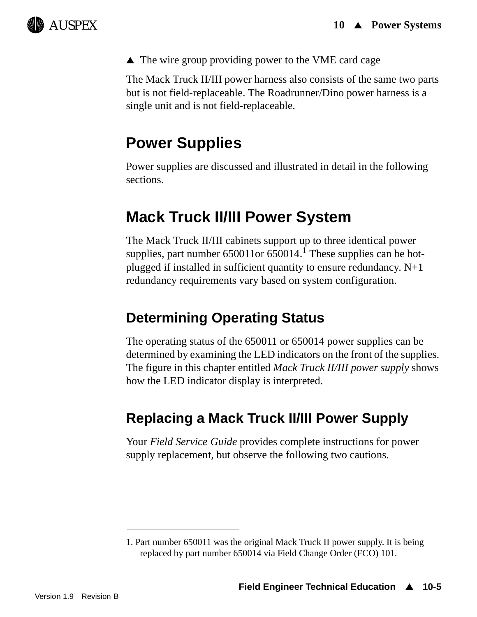

 $\triangle$  The wire group providing power to the VME card cage

The Mack Truck II/III power harness also consists of the same two parts but is not field-replaceable. The Roadrunner/Dino power harness is a single unit and is not field-replaceable.

## **Power Supplies**

Power supplies are discussed and illustrated in detail in the following sections.

## **Mack Truck II/III Power System**

The Mack Truck II/III cabinets support up to three identical power supplies, part number  $650011$  or  $650014$ .<sup>1</sup> These supplies can be hotplugged if installed in sufficient quantity to ensure redundancy. N+1 redundancy requirements vary based on system configuration.

## **Determining Operating Status**

The operating status of the 650011 or 650014 power supplies can be determined by examining the LED indicators on the front of the supplies. The figure in this chapter entitled *Mack Truck II/III power supply* shows how the LED indicator display is interpreted.

## **Replacing a Mack Truck II/III Power Supply**

Your *Field Service Guide* provides complete instructions for power supply replacement, but observe the following two cautions.

<sup>1.</sup> Part number 650011 was the original Mack Truck II power supply. It is being replaced by part number 650014 via Field Change Order (FCO) 101.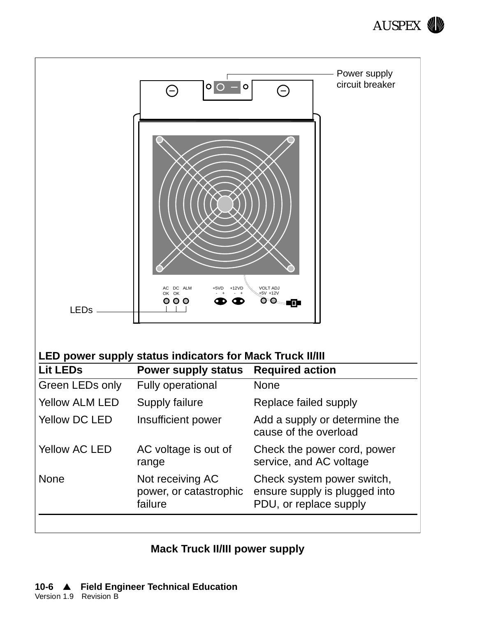



#### **Mack Truck II/III power supply**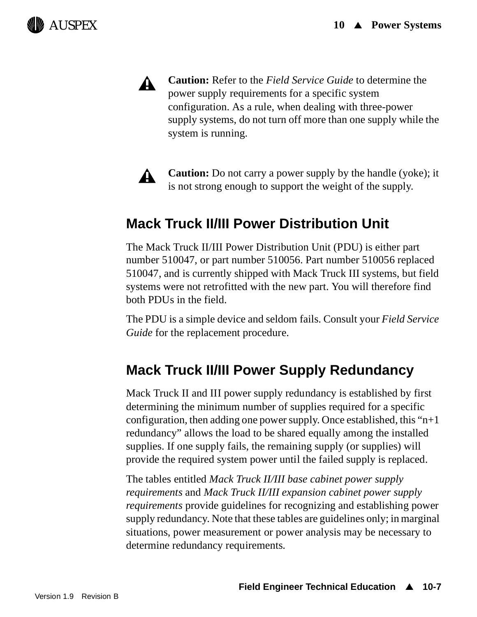

А.

**Caution:** Refer to the *Field Service Guide* to determine the power supply requirements for a specific system configuration. As a rule, when dealing with three-power supply systems, do not turn off more than one supply while the system is running.



**Caution:** Do not carry a power supply by the handle (yoke); it is not strong enough to support the weight of the supply.

## **Mack Truck II/III Power Distribution Unit**

The Mack Truck II/III Power Distribution Unit (PDU) is either part number 510047, or part number 510056. Part number 510056 replaced 510047, and is currently shipped with Mack Truck III systems, but field systems were not retrofitted with the new part. You will therefore find both PDUs in the field.

The PDU is a simple device and seldom fails. Consult your *Field Service Guide* for the replacement procedure.

## **Mack Truck II/III Power Supply Redundancy**

Mack Truck II and III power supply redundancy is established by first determining the minimum number of supplies required for a specific configuration, then adding one power supply. Once established, this " $n+1$ " redundancy" allows the load to be shared equally among the installed supplies. If one supply fails, the remaining supply (or supplies) will provide the required system power until the failed supply is replaced.

The tables entitled *Mack Truck II/III base cabinet power supply requirements* and *Mack Truck II/III expansion cabinet power supply requirements* provide guidelines for recognizing and establishing power supply redundancy. Note that these tables are guidelines only; in marginal situations, power measurement or power analysis may be necessary to determine redundancy requirements.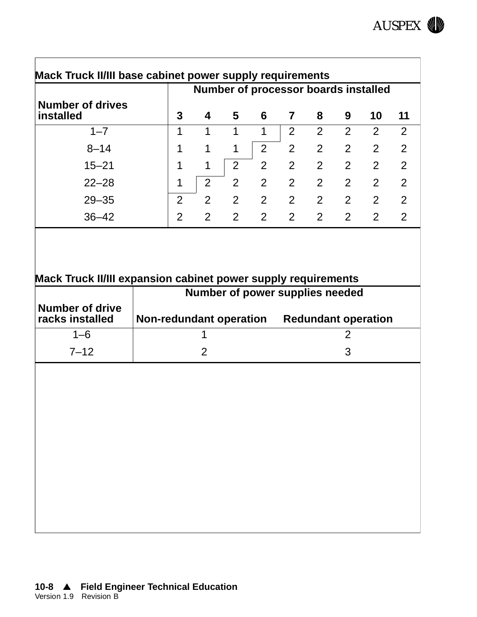

|                                      | Number of processor boards installed |                |                |                |                |   |                |                |                |
|--------------------------------------|--------------------------------------|----------------|----------------|----------------|----------------|---|----------------|----------------|----------------|
| <b>Number of drives</b><br>installed | 3                                    | 4              | 5              | 6              | $\overline{7}$ | 8 | 9              | 10             | 11             |
| $1 - 7$                              |                                      |                |                | 1              | 2              | 2 | $\overline{2}$ | 2              | $\overline{2}$ |
| $8 - 14$                             |                                      | 1              | $\mathbf 1$    | $\overline{2}$ | $\overline{2}$ | 2 | $\overline{2}$ | 2              | 2              |
| $15 - 21$                            |                                      | 1              | $\overline{2}$ | 2              | 2              | 2 | $\overline{2}$ | 2              | $\mathcal{P}$  |
| $22 - 28$                            | 1                                    | 2              | $\overline{2}$ | 2              | $\overline{2}$ | 2 | $\overline{2}$ | 2              | 2              |
| $29 - 35$                            | $\overline{2}$                       | $\overline{2}$ | 2              | $\overline{2}$ | 2              | 2 | 2              | $\overline{2}$ | $\overline{2}$ |
| $36 - 42$                            | $\overline{2}$                       | $\overline{2}$ | 2              | $\overline{2}$ | 2              | 2 | 2              | 2              | $\mathfrak{D}$ |

#### **Mack Truck II/III expansion cabinet power supply requirements**

|                                           | Number of power supplies needed |                            |  |  |
|-------------------------------------------|---------------------------------|----------------------------|--|--|
| <b>Number of drive</b><br>racks installed | <b>Non-redundant operation</b>  | <b>Redundant operation</b> |  |  |
| 1–6                                       |                                 |                            |  |  |
| $7 - 12$                                  |                                 |                            |  |  |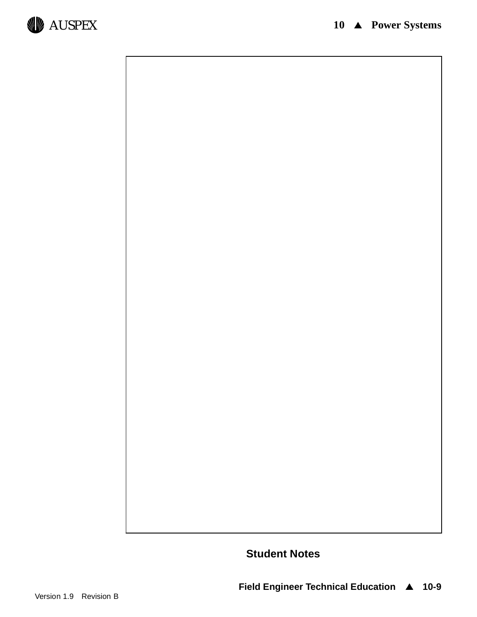

**Student Notes**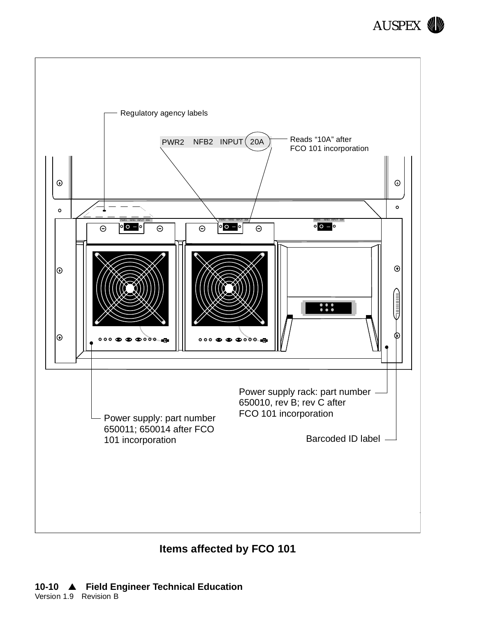



**Items affected by FCO 101**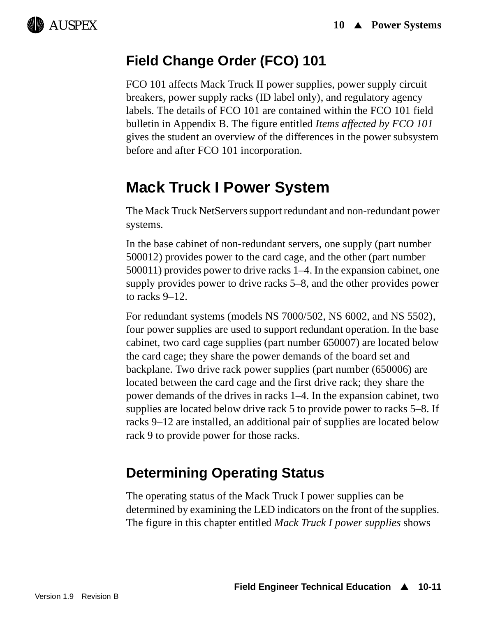

## **Field Change Order (FCO) 101**

FCO 101 affects Mack Truck II power supplies, power supply circuit breakers, power supply racks (ID label only), and regulatory agency labels. The details of FCO 101 are contained within the FCO 101 field bulletin in Appendix B. The figure entitled *Items affected by FCO 101* gives the student an overview of the differences in the power subsystem before and after FCO 101 incorporation.

## **Mack Truck I Power System**

The Mack Truck NetServers support redundant and non-redundant power systems.

In the base cabinet of non-redundant servers, one supply (part number 500012) provides power to the card cage, and the other (part number 500011) provides power to drive racks 1–4. In the expansion cabinet, one supply provides power to drive racks 5–8, and the other provides power to racks 9–12.

For redundant systems (models NS 7000/502, NS 6002, and NS 5502), four power supplies are used to support redundant operation. In the base cabinet, two card cage supplies (part number 650007) are located below the card cage; they share the power demands of the board set and backplane. Two drive rack power supplies (part number (650006) are located between the card cage and the first drive rack; they share the power demands of the drives in racks 1–4. In the expansion cabinet, two supplies are located below drive rack 5 to provide power to racks 5–8. If racks 9–12 are installed, an additional pair of supplies are located below rack 9 to provide power for those racks.

## **Determining Operating Status**

The operating status of the Mack Truck I power supplies can be determined by examining the LED indicators on the front of the supplies. The figure in this chapter entitled *Mack Truck I power supplies* shows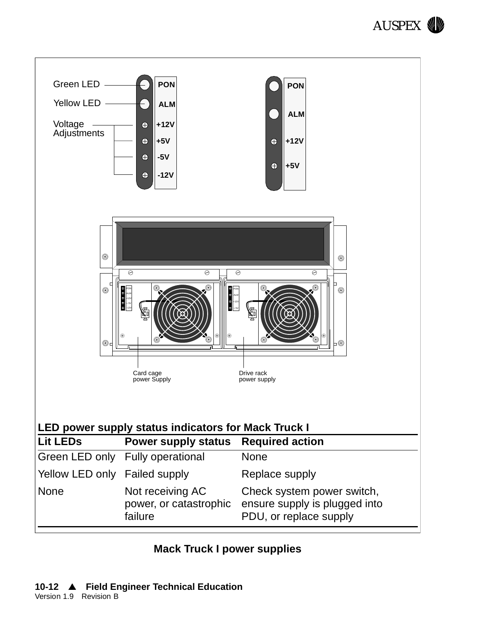



#### **Mack Truck I power supplies**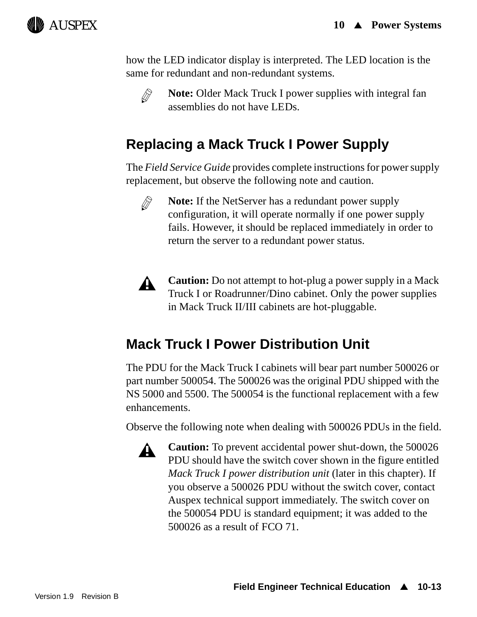

how the LED indicator display is interpreted. The LED location is the same for redundant and non-redundant systems.



**Note:** Older Mack Truck I power supplies with integral fan assemblies do not have LEDs.

## **Replacing a Mack Truck I Power Supply**

The *Field Service Guide* provides complete instructions for power supply replacement, but observe the following note and caution.



**Note:** If the NetServer has a redundant power supply configuration, it will operate normally if one power supply fails. However, it should be replaced immediately in order to return the server to a redundant power status.



**Caution:** Do not attempt to hot-plug a power supply in a Mack Truck I or Roadrunner/Dino cabinet. Only the power supplies in Mack Truck II/III cabinets are hot-pluggable.

## **Mack Truck I Power Distribution Unit**

The PDU for the Mack Truck I cabinets will bear part number 500026 or part number 500054. The 500026 was the original PDU shipped with the NS 5000 and 5500. The 500054 is the functional replacement with a few enhancements.

Observe the following note when dealing with 500026 PDUs in the field.



**Caution:** To prevent accidental power shut-down, the 500026 PDU should have the switch cover shown in the figure entitled *Mack Truck I power distribution unit* (later in this chapter). If you observe a 500026 PDU without the switch cover, contact Auspex technical support immediately. The switch cover on the 500054 PDU is standard equipment; it was added to the 500026 as a result of FCO 71.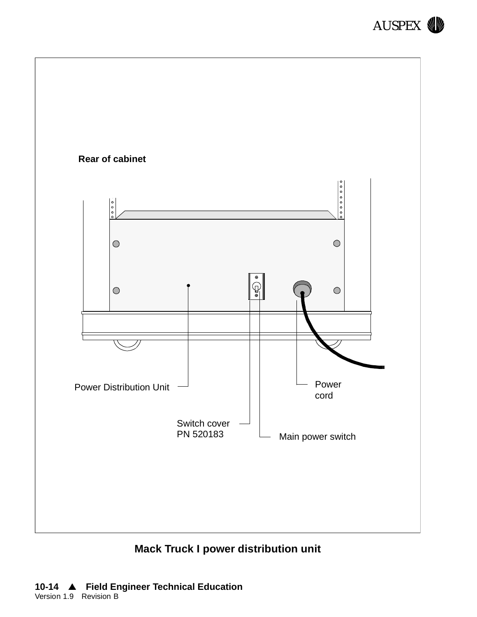



**Mack Truck I power distribution unit**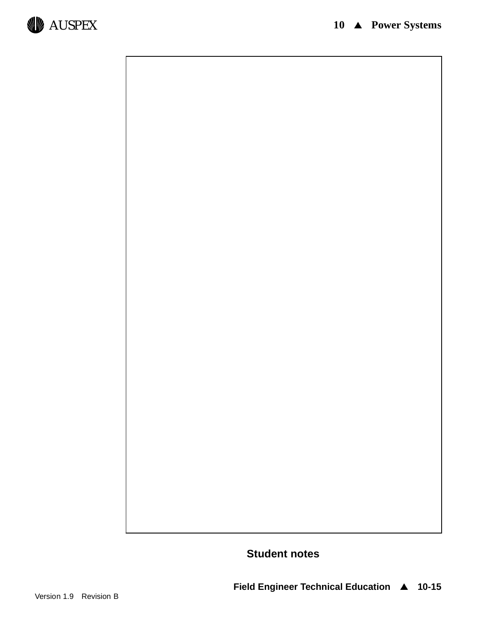

**Student notes**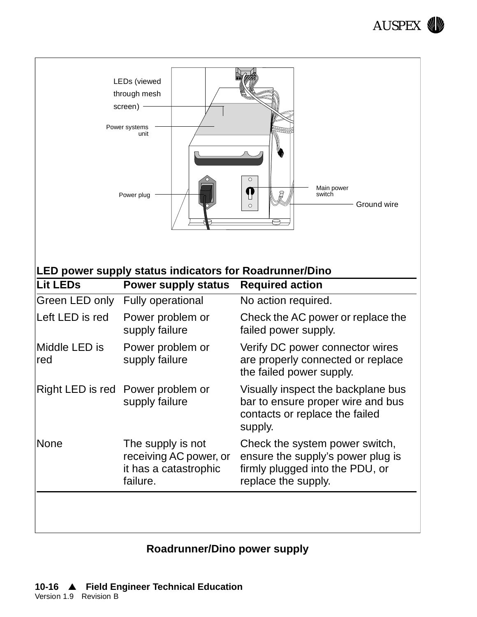

| LEDs (viewed<br>through mesh<br>screen) -<br>Power systems<br>unit<br>$\bigcirc$<br>Main power<br>P<br>G<br>switch<br>Power plug<br>Ground wire<br>$\circ$<br><b>LED power supply status indicators for Roadrunner/Dino</b> |                                                                                  |                                                                                                                               |  |  |  |
|-----------------------------------------------------------------------------------------------------------------------------------------------------------------------------------------------------------------------------|----------------------------------------------------------------------------------|-------------------------------------------------------------------------------------------------------------------------------|--|--|--|
| <b>Lit LEDs</b>                                                                                                                                                                                                             | <b>Power supply status</b>                                                       | <b>Required action</b>                                                                                                        |  |  |  |
| Green LED only                                                                                                                                                                                                              | <b>Fully operational</b>                                                         | No action required.                                                                                                           |  |  |  |
| Left LED is red                                                                                                                                                                                                             | Power problem or<br>supply failure                                               | Check the AC power or replace the<br>failed power supply.                                                                     |  |  |  |
| Middle LED is<br>red                                                                                                                                                                                                        | Power problem or<br>supply failure                                               | Verify DC power connector wires<br>are properly connected or replace<br>the failed power supply.                              |  |  |  |
|                                                                                                                                                                                                                             | Right LED is red Power problem or<br>supply failure                              | Visually inspect the backplane bus<br>bar to ensure proper wire and bus<br>contacts or replace the failed<br>supply.          |  |  |  |
| <b>None</b>                                                                                                                                                                                                                 | The supply is not<br>receiving AC power, or<br>it has a catastrophic<br>failure. | Check the system power switch,<br>ensure the supply's power plug is<br>firmly plugged into the PDU, or<br>replace the supply. |  |  |  |
|                                                                                                                                                                                                                             |                                                                                  |                                                                                                                               |  |  |  |

## **Roadrunner/Dino power supply**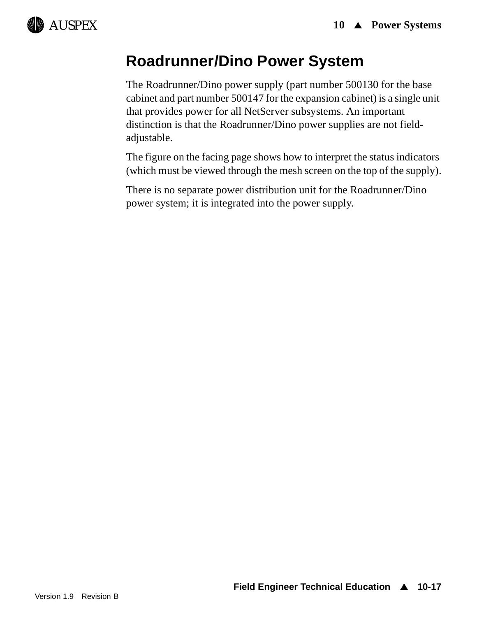# AUSPEX

# **Roadrunner/Dino Power System**

The Roadrunner/Dino power supply (part number 500130 for the base cabinet and part number 500147 for the expansion cabinet) is a single unit that provides power for all NetServer subsystems. An important distinction is that the Roadrunner/Dino power supplies are not fieldadjustable.

The figure on the facing page shows how to interpret the status indicators (which must be viewed through the mesh screen on the top of the supply).

There is no separate power distribution unit for the Roadrunner/Dino power system; it is integrated into the power supply.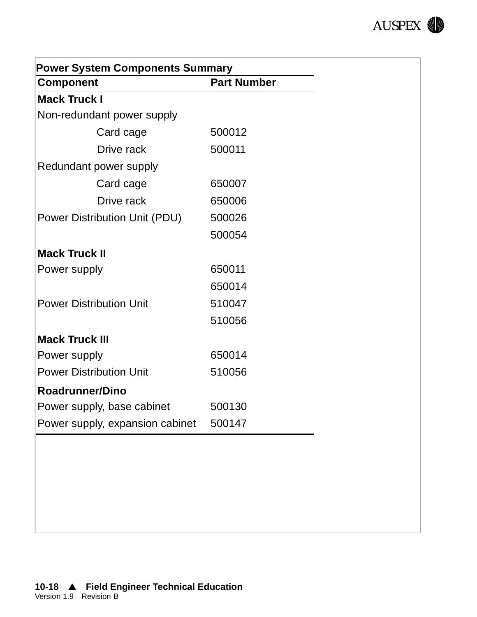

| <b>Power System Components Summary</b> |                    |
|----------------------------------------|--------------------|
| <b>Component</b>                       | <b>Part Number</b> |
| <b>Mack Truck I</b>                    |                    |
| Non-redundant power supply             |                    |
| Card cage                              | 500012             |
| Drive rack                             | 500011             |
| Redundant power supply                 |                    |
| Card cage                              | 650007             |
| Drive rack                             | 650006             |
| Power Distribution Unit (PDU)          | 500026             |
|                                        | 500054             |
| <b>Mack Truck II</b>                   |                    |
| Power supply                           | 650011             |
|                                        | 650014             |
| <b>Power Distribution Unit</b>         | 510047             |
|                                        | 510056             |
| <b>Mack Truck III</b>                  |                    |
| Power supply                           | 650014             |
| <b>Power Distribution Unit</b>         | 510056             |
| <b>Roadrunner/Dino</b>                 |                    |
| Power supply, base cabinet             | 500130             |
| Power supply, expansion cabinet        | 500147             |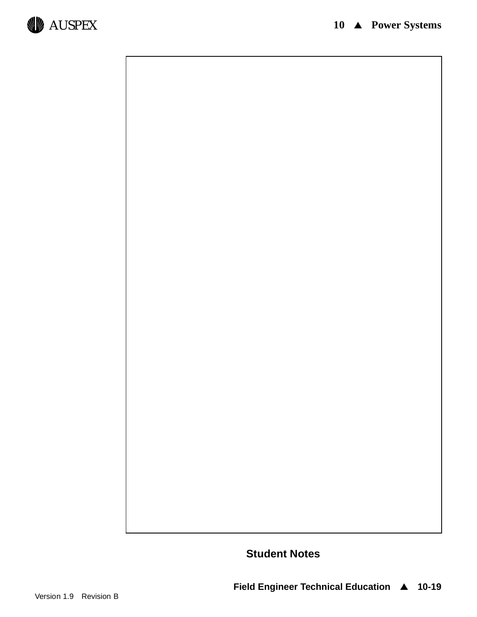

**Student Notes**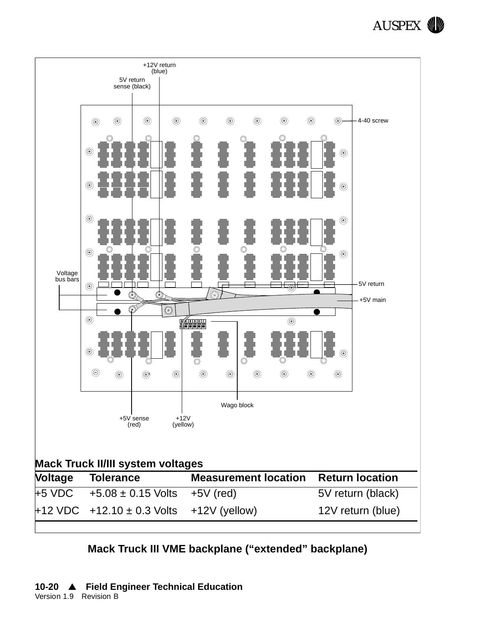



#### **Mack Truck III VME backplane ("extended" backplane)**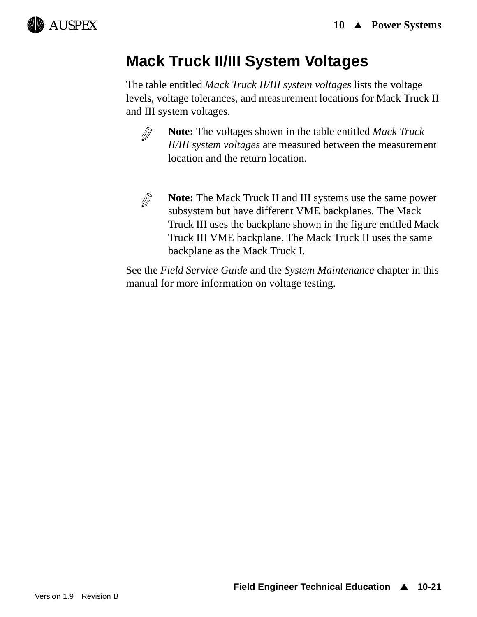# AUSPEX

# **Mack Truck II/III System Voltages**

The table entitled *Mack Truck II/III system voltages* lists the voltage levels, voltage tolerances, and measurement locations for Mack Truck II and III system voltages.



**Note:** The voltages shown in the table entitled *Mack Truck II/III system voltages* are measured between the measurement location and the return location.



**Note:** The Mack Truck II and III systems use the same power subsystem but have different VME backplanes. The Mack Truck III uses the backplane shown in the figure entitled Mack Truck III VME backplane. The Mack Truck II uses the same backplane as the Mack Truck I.

See the *Field Service Guide* and the *System Maintenance* chapter in this manual for more information on voltage testing.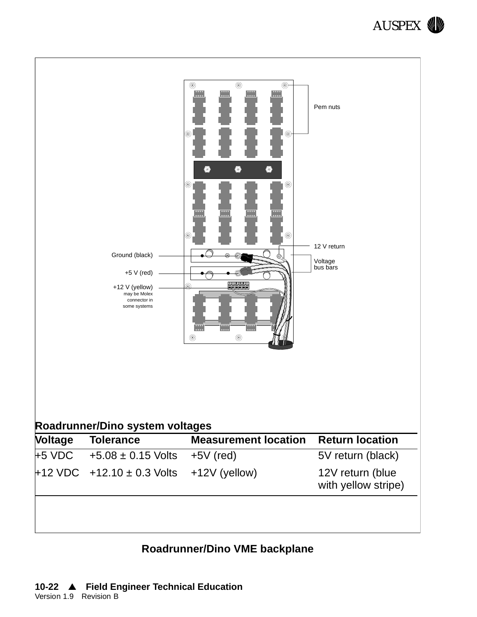



#### **Roadrunner/Dino VME backplane**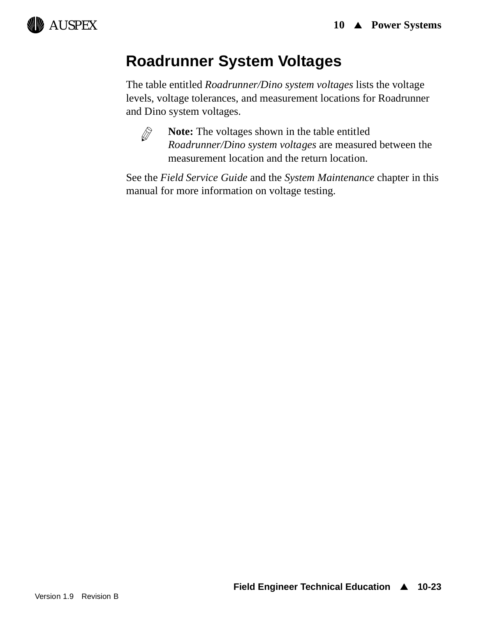

# **Roadrunner System Voltages**

The table entitled *Roadrunner/Dino system voltages* lists the voltage levels, voltage tolerances, and measurement locations for Roadrunner and Dino system voltages.



**Note:** The voltages shown in the table entitled *Roadrunner/Dino system voltages* are measured between the measurement location and the return location.

See the *Field Service Guide* and the *System Maintenance* chapter in this manual for more information on voltage testing.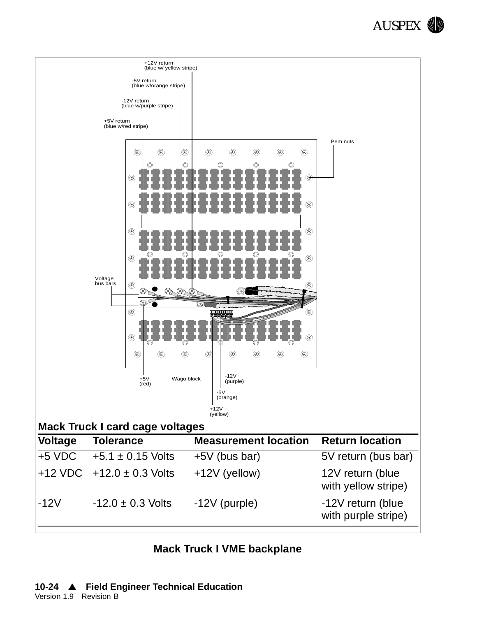



|  |  |  |  |  | <b>Mack Truck I VME backplane</b> |
|--|--|--|--|--|-----------------------------------|
|--|--|--|--|--|-----------------------------------|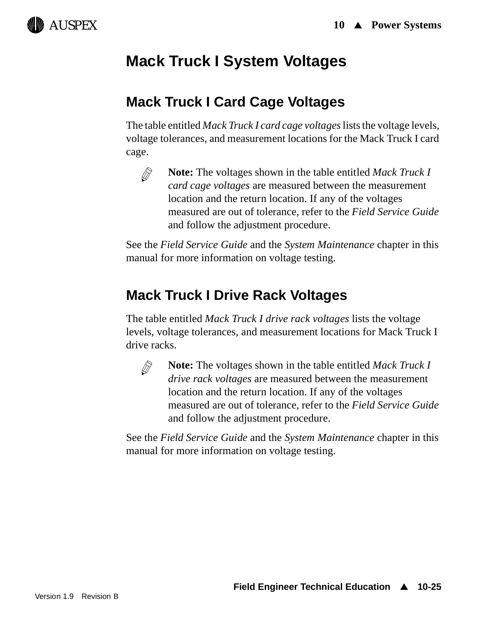

## **Mack Truck I System Voltages**

## **Mack Truck I Card Cage Voltages**

The table entitled *Mack Truck I card cage voltages* lists the voltage levels, voltage tolerances, and measurement locations for the Mack Truck I card cage.



**Note:** The voltages shown in the table entitled *Mack Truck I card cage voltages* are measured between the measurement location and the return location. If any of the voltages measured are out of tolerance, refer to the *Field Service Guide* and follow the adjustment procedure.

See the *Field Service Guide* and the *System Maintenance* chapter in this manual for more information on voltage testing.

## **Mack Truck I Drive Rack Voltages**

The table entitled *Mack Truck I drive rack voltages* lists the voltage levels, voltage tolerances, and measurement locations for Mack Truck I drive racks.



**Note:** The voltages shown in the table entitled *Mack Truck I drive rack voltages* are measured between the measurement location and the return location. If any of the voltages measured are out of tolerance, refer to the *Field Service Guide* and follow the adjustment procedure.

See the *Field Service Guide* and the *System Maintenance* chapter in this manual for more information on voltage testing.